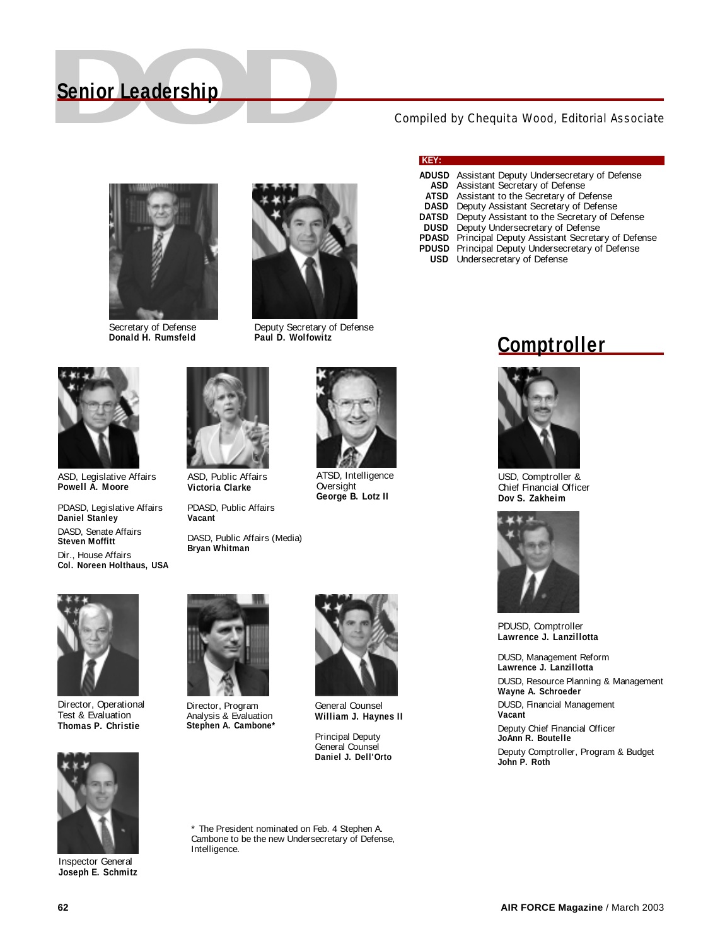# **Senior Leadership**<br>
Compiled by Chequita Wood, Editorial Associate **Senior Leadership**



Secretary of Defense **Donald H. Rumsfeld**



Deputy Secretary of Defense **Paul D. Wolfowitz**

ASD, Legislative Affairs **Powell A. Moore**

PDASD, Legislative Affairs **Daniel Stanley** DASD, Senate Affairs **Steven Moffitt** Dir., House Affairs **Col. Noreen Holthaus, USA**



ASD, Public Affairs **Victoria Clarke**

PDASD, Public Affairs **Vacant**

DASD, Public Affairs (Media) **Bryan Whitman**



ATSD, Intelligence Oversight **George B. Lotz II**

Director, Operational Test & Evaluation **Thomas P. Christie**



Director, Program Analysis & Evaluation **Stephen A. Cambone\***



General Counsel **William J. Haynes II**

Principal Deputy General Counsel **Daniel J. Dell'Orto**

\* The President nominated on Feb. 4 Stephen A. Cambone to be the new Undersecretary of Defense, Intelligence.

#### **KEY:**

- **ADUSD** Assistant Deputy Undersecretary of Defense **ASD** Assistant Secretary of Defense<br>**ATSD** Assistant to the Secretary of De Assistant to the Secretary of Defense
- **DASD** Deputy Assistant Secretary of Defense
- 
- **DATSD** Deputy Assistant to the Secretary of Defense<br>**DUSD** Deputy Undersecretary of Defense Deputy Undersecretary of Defense
- **PDASD** Principal Deputy Assistant Secretary of Defense
- **PDUSD** Principal Deputy Undersecretary of Defense
- **USD** Undersecretary of Defense

#### **Comptroller**



USD, Comptroller & Chief Financial Officer **Dov S. Zakheim**



PDUSD, Comptroller **Lawrence J. Lanzillotta**

DUSD, Management Reform **Lawrence J. Lanzillotta** DUSD, Resource Planning & Management **Wayne A. Schroeder** DUSD, Financial Management **Vacant** Deputy Chief Financial Officer **JoAnn R. Boutelle** Deputy Comptroller, Program & Budget **John P. Roth**



Inspector General **Joseph E. Schmitz**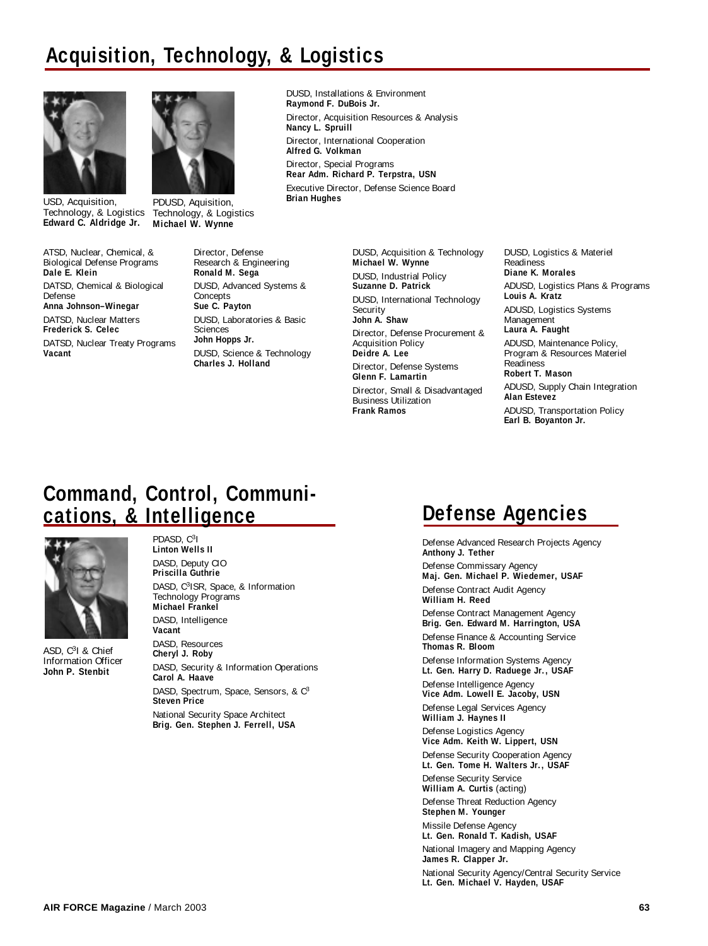### **Acquisition, Technology, & Logistics**



USD, Acquisition, **Edward C. Aldridge Jr.**

ATSD, Nuclear, Chemical, & Biological Defense Programs **Dale E. Klein** DATSD, Chemical & Biological Defense **Anna Johnson–Winegar** DATSD, Nuclear Matters **Frederick S. Celec** DATSD, Nuclear Treaty Programs **Vacant**



**PDUSD, Aquisition,** Technology, & Logistics Technology, & Logistics **Michael W. Wynne**

DUSD, Installations & Environment **Raymond F. DuBois Jr.** Director, Acquisition Resources & Analysis **Nancy L. Spruill** Director, International Cooperation **Alfred G. Volkman** Director, Special Programs **Rear Adm. Richard P. Terpstra, USN** Executive Director, Defense Science Board

Director, Defense Research & Engineering **Ronald M. Sega** DUSD, Advanced Systems & Concepts **Sue C. Payton** DUSD, Laboratories & Basic Sciences **John Hopps Jr.** DUSD, Science & Technology **Charles J. Holland**

DUSD, Acquisition & Technology **Michael W. Wynne** DUSD, Industrial Policy **Suzanne D. Patrick** DUSD, International Technology Security **John A. Shaw** Director, Defense Procurement & Acquisition Policy **Deidre A. Lee** Director, Defense Systems **Glenn F. Lamartin** Director, Small & Disadvantaged Business Utilization **Frank Ramos**

DUSD, Logistics & Materiel Readiness **Diane K. Morales** ADUSD, Logistics Plans & Programs **Louis A. Kratz** ADUSD, Logistics Systems Management **Laura A. Faught** ADUSD, Maintenance Policy, Program & Resources Materiel Readiness **Robert T. Mason** ADUSD, Supply Chain Integration **Alan Estevez** ADUSD, Transportation Policy **Earl B. Boyanton Jr.**

#### **Command, Control, Communications, & Intelligence**



ASD, C3I & Chief Information Officer **John P. Stenbit**

PDASD, C3I **Linton Wells II** DASD, Deputy CIO **Priscilla Guthrie** DASD, C<sup>3</sup>ISR, Space, & Information Technology Programs **Michael Frankel** DASD, Intelligence **Vacant** DASD, Resources **Cheryl J. Roby**

DASD, Security & Information Operations **Carol A. Haave** DASD, Spectrum, Space, Sensors, & C<sup>3</sup> **Steven Price** National Security Space Architect **Brig. Gen. Stephen J. Ferrell, USA**

### **Defense Agencies**

Defense Advanced Research Projects Agency **Anthony J. Tether** Defense Commissary Agency **Maj. Gen. Michael P. Wiedemer, USAF** Defense Contract Audit Agency **William H. Reed** Defense Contract Management Agency **Brig. Gen. Edward M. Harrington, USA** Defense Finance & Accounting Service **Thomas R. Bloom** Defense Information Systems Agency **Lt. Gen. Harry D. Raduege Jr., USAF** Defense Intelligence Agency **Vice Adm. Lowell E. Jacoby, USN** Defense Legal Services Agency **William J. Haynes II** Defense Logistics Agency **Vice Adm. Keith W. Lippert, USN** Defense Security Cooperation Agency **Lt. Gen. Tome H. Walters Jr., USAF** Defense Security Service **William A. Curtis** (acting) Defense Threat Reduction Agency **Stephen M. Younger** Missile Defense Agency **Lt. Gen. Ronald T. Kadish, USAF** National Imagery and Mapping Agency **James R. Clapper Jr.** National Security Agency/Central Security Service **Lt. Gen. Michael V. Hayden, USAF**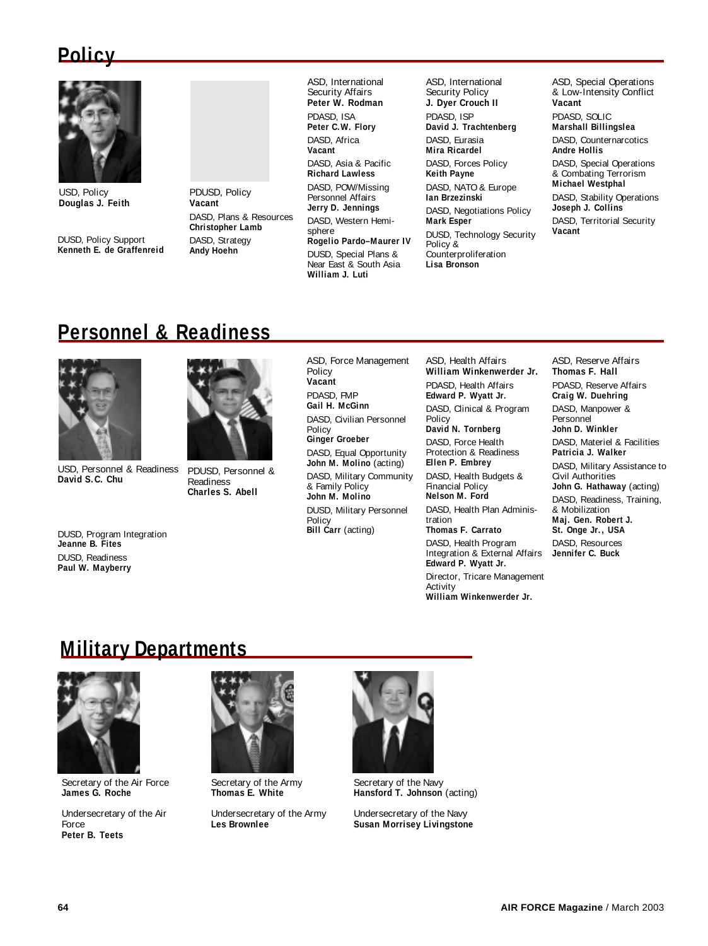### **Policy**



USD, Policy **Douglas J. Feith**

DUSD, Policy Support **Kenneth E. de Graffenreid** PDUSD, Policy **Vacant** DASD, Plans & Resources **Christopher Lamb** DASD, Strategy **Andy Hoehn**

ASD, International Security Affairs **Peter W. Rodman** PDASD, ISA **Peter C.W. Flory** DASD, Africa **Vacant** DASD, Asia & Pacific **Richard Lawless** DASD, POW/Missing Personnel Affairs **Jerry D. Jennings** DASD, Western Hemisphere **Rogelio Pardo–Maurer IV** DUSD, Special Plans & Near East & South Asia **William J. Luti**

ASD, International Security Policy **J. Dyer Crouch II** PDASD, ISP **David J. Trachtenberg** DASD, Eurasia **Mira Ricardel** DASD, Forces Policy **Keith Payne** DASD, NATO & Europe **Ian Brzezinski** DASD, Negotiations Policy **Mark Esper** DUSD, Technology Security Policy & Counterproliferation **Lisa Bronson**

ASD, Special Operations & Low-Intensity Conflict **Vacant** PDASD, SOLIC **Marshall Billingslea** DASD, Counternarcotics **Andre Hollis** DASD, Special Operations & Combating Terrorism **Michael Westphal** DASD, Stability Operations **Joseph J. Collins** DASD, Territorial Security **Vacant**

### **Personnel & Readiness**



USD, Personnel & Readiness **David S.C. Chu**

DUSD, Program Integration **Jeanne B. Fites** DUSD, Readiness **Paul W. Mayberry**



PDUSD, Personnel & Readiness **Charles S. Abell**

ASD, Force Management Policy **Vacant** PDASD, FMP **Gail H. McGinn** DASD, Civilian Personnel **Policy Ginger Groeber** DASD, Equal Opportunity **John M. Molino** (acting) DASD, Military Community & Family Policy **John M. Molino**

DUSD, Military Personnel Policy **Bill Carr** (acting)

ASD, Health Affairs **William Winkenwerder Jr.**

PDASD, Health Affairs **Edward P. Wyatt Jr.** DASD, Clinical & Program

Policy **David N. Tornberg** DASD, Force Health

Protection & Readiness **Ellen P. Embrey**

DASD, Health Budgets & Financial Policy **Nelson M. Ford**

DASD, Health Plan Administration

**Thomas F. Carrato**

DASD, Health Program Integration & External Affairs **Edward P. Wyatt Jr.** Director, Tricare Management Activity

**William Winkenwerder Jr.**

ASD, Reserve Affairs **Thomas F. Hall** PDASD, Reserve Affairs **Craig W. Duehring** DASD, Manpower & Personnel **John D. Winkler** DASD, Materiel & Facilities **Patricia J. Walker** DASD, Military Assistance to Civil Authorities **John G. Hathaway** (acting) DASD, Readiness, Training,

& Mobilization **Maj. Gen. Robert J. St. Onge Jr., USA**

DASD, Resources **Jennifer C. Buck**

#### **Military Departments**



Secretary of the Air Force **James G. Roche**

Undersecretary of the Air Force **Peter B. Teets**



Secretary of the Army **Thomas E. White**

Undersecretary of the Army **Les Brownlee**



Secretary of the Navy **Hansford T. Johnson** (acting)

Undersecretary of the Navy **Susan Morrisey Livingstone**